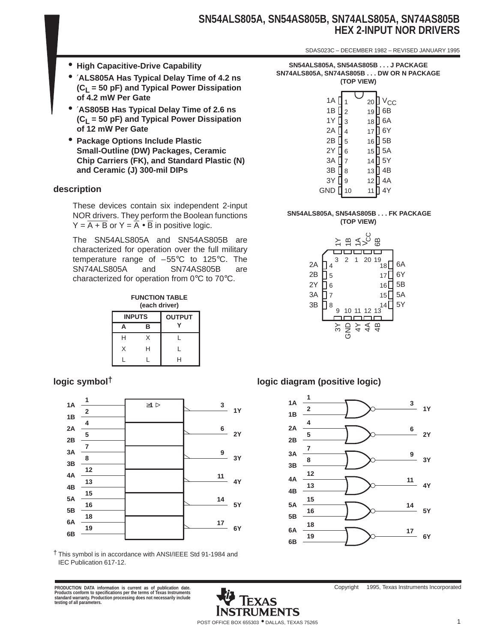# **SN54ALS805A, SN54AS805B, SN74ALS805A, SN74AS805B HEX 2-INPUT NOR DRIVERS**

SDAS023C – DECEMBER 1982 – REVISED JANUARY 1995

- **High Capacitive-Drive Capability**
- ′**ALS805A Has Typical Delay Time of 4.2 ns (CL = 50 pF) and Typical Power Dissipation of 4.2 mW Per Gate**
- ′**AS805B Has Typical Delay Time of 2.6 ns (CL = 50 pF) and Typical Power Dissipation of 12 mW Per Gate**
- **Package Options Include Plastic Small-Outline (DW) Packages, Ceramic Chip Carriers (FK), and Standard Plastic (N) and Ceramic (J) 300-mil DIPs**

## **description**

These devices contain six independent 2-input NOR drivers. They perform the Boolean functions  $Y = \overline{A + B}$  or  $Y = \overline{A} \cdot \overline{B}$  in positive logic.

The SN54ALS805A and SN54AS805B are characterized for operation over the full military temperature range of  $-55^{\circ}$ C to 125 $^{\circ}$ C. The SN74ALS805A and SN74AS805B are characterized for operation from 0°C to 70°C.

**FUNCTION TABLE (each driver)**

|   | <b>INPUTS</b> | <b>OUTPUT</b> |
|---|---------------|---------------|
| А | в             |               |
| н | X             |               |
| X | н             |               |
|   |               | н             |



† This symbol is in accordance with ANSI/IEEE Std 91-1984 and IEC Publication 617-12.

PRODUCTION DATA information is current as of publication date.<br>Products conform to specifications per the terms of Texas Instruments<br>standard warranty. Production processing does not necessarily include<br>testing of all para

**SN54ALS805A, SN54AS805B . . . J PACKAGE SN74ALS805A, SN74AS805B . . . DW OR N PACKAGE (TOP VIEW)**

#### **SN54ALS805A, SN54AS805B . . . FK PACKAGE (TOP VIEW)**



# **logic symbol† logic diagram (positive logic)**



Copyright © 1995, Texas Instruments Incorporated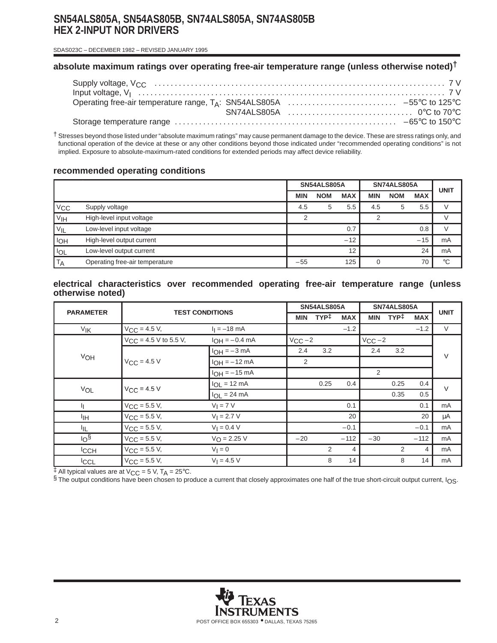# **SN54ALS805A, SN54AS805B, SN74ALS805A, SN74AS805B HEX 2-INPUT NOR DRIVERS**

SDAS023C – DECEMBER 1982 – REVISED JANUARY 1995

# **absolute maximum ratings over operating free-air temperature range (unless otherwise noted)†**

† Stresses beyond those listed under "absolute maximum ratings" may cause permanent damage to the device. These are stress ratings only, and functional operation of the device at these or any other conditions beyond those indicated under "recommended operating conditions" is not implied. Exposure to absolute-maximum-rated conditions for extended periods may affect device reliability.

## **recommended operating conditions**

|                 |                                |            | SN54ALS805A |            | SN74ALS805A |            | <b>UNIT</b> |             |
|-----------------|--------------------------------|------------|-------------|------------|-------------|------------|-------------|-------------|
|                 |                                | <b>MIN</b> | <b>NOM</b>  | <b>MAX</b> | <b>MIN</b>  | <b>NOM</b> | <b>MAX</b>  |             |
| V <sub>CC</sub> | Supply voltage                 | 4.5        | 5           | 5.5        | 4.5         |            | 5.5         |             |
| V <sub>IH</sub> | High-level input voltage       | ⌒          |             |            |             |            |             |             |
| VIL             | Low-level input voltage        |            |             | 0.7        |             |            | 0.8         |             |
| l <sub>OH</sub> | High-level output current      |            |             | $-12$      |             |            | $-15$       | mA          |
| <b>IOL</b>      | Low-level output current       |            |             | 12         |             |            | 24          | mA          |
| <b>TA</b>       | Operating free-air temperature | $-55$      |             | 125        |             |            | 70          | $^{\circ}C$ |

#### **electrical characteristics over recommended operating free-air temperature range (unless otherwise noted)**

| <b>PARAMETER</b>      | <b>TEST CONDITIONS</b>     |                         | SN54ALS805A |                  |                | SN74ALS805A      |                  |                | <b>UNIT</b> |  |
|-----------------------|----------------------------|-------------------------|-------------|------------------|----------------|------------------|------------------|----------------|-------------|--|
|                       |                            |                         | MIN         | TYP <sup>‡</sup> | <b>MAX</b>     | <b>MIN</b>       | TYP <sup>‡</sup> | <b>MAX</b>     |             |  |
| <b>V<sub>IK</sub></b> | $V_{\text{CC}} = 4.5 V,$   | $I_1 = -18$ mA          |             |                  | $-1.2$         |                  |                  | $-1.2$         | $\vee$      |  |
|                       | $V_{CC}$ = 4.5 V to 5.5 V, | $I_{OH} = -0.4$ mA      | $V_{CC}$ -2 |                  |                | $V_{\rm CC}$ – 2 |                  |                |             |  |
|                       |                            | $IOH = -3 mA$           | 2.4         | 3.2              |                | 2.4              | 3.2              |                | $\vee$      |  |
| VOH                   | $V_{CC} = 4.5 V$           | $I_{OH} = -12$ mA       | 2           |                  |                |                  |                  |                |             |  |
|                       |                            | $I_{OH} = -15$ mA       |             |                  |                | 2                |                  |                |             |  |
|                       |                            | $I_{OL}$ = 12 mA        |             | 0.25             | 0.4            |                  | 0.25             | 0.4            | $\vee$      |  |
| VOL                   | $V_{CC}$ = 4.5 V           | $I_{OL}$ = 24 mA        |             |                  |                |                  | 0.35             | 0.5            |             |  |
| h                     | $V_{\text{CC}} = 5.5 V,$   | $V_I = 7 V$             |             |                  | 0.1            |                  |                  | 0.1            | mA          |  |
| ŀщ                    | $V_{CC}$ = 5.5 V,          | $V_1 = 2.7 V$           |             |                  | 20             |                  |                  | 20             | μA          |  |
| ĪЩ                    | $V_{\text{CC}} = 5.5 V,$   | $V_1 = 0.4 V$           |             |                  | $-0.1$         |                  |                  | $-0.1$         | mA          |  |
| 10 <sup>6</sup>       | $V_{\text{CC}} = 5.5 V,$   | $V_{\text{O}} = 2.25 V$ | $-20$       |                  | $-112$         | $-30$            |                  | $-112$         | mA          |  |
| <sup>I</sup> CCH      | $V_{CC}$ = 5.5 V,          | $V_1 = 0$               |             | 2                | $\overline{4}$ |                  | 2                | $\overline{4}$ | mA          |  |
| <b>ICCL</b>           | $V_{CC}$ = 5.5 V,          | $V_1 = 4.5 V$           |             | 8                | 14             |                  | 8                | 14             | mA          |  |

 $\ddagger$  All typical values are at V<sub>CC</sub> = 5 V, T<sub>A</sub> = 25°C.

§ The output conditions have been chosen to produce a current that closely approximates one half of the true short-circuit output current, IOS.

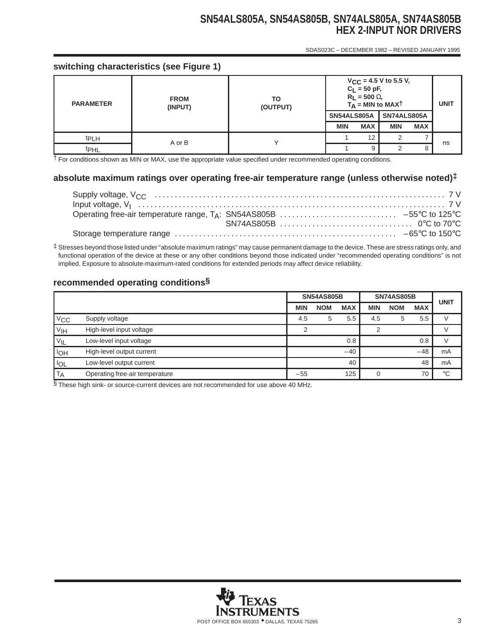# **SN54ALS805A, SN54AS805B, SN74ALS805A, SN74AS805B HEX 2-INPUT NOR DRIVERS**

SDAS023C – DECEMBER 1982 – REVISED JANUARY 1995

# **switching characteristics (see Figure 1)**

| <b>PARAMETER</b> | <b>FROM</b><br>(INPUT) | TO<br>(OUTPUT) | $V_{CC}$ = 4.5 V to 5.5 V,<br>$C_L = 50$ pF,<br>$R_L$ = 500 $\Omega$ ,<br>$T_A$ = MIN to MAXT | <b>UNIT</b> |             |            |    |
|------------------|------------------------|----------------|-----------------------------------------------------------------------------------------------|-------------|-------------|------------|----|
|                  |                        |                | SN54ALS805A                                                                                   |             | SN74ALS805A |            |    |
|                  |                        |                | <b>MIN</b>                                                                                    | <b>MAX</b>  | <b>MIN</b>  | <b>MAX</b> |    |
| <sup>t</sup> PLH | A or B                 |                |                                                                                               | 12          |             |            |    |
| t <sub>PHL</sub> |                        |                |                                                                                               | 9           |             | 8          | ns |

† For conditions shown as MIN or MAX, use the appropriate value specified under recommended operating conditions.

# **absolute maximum ratings over operating free-air temperature range (unless otherwise noted)‡**

‡ Stresses beyond those listed under "absolute maximum ratings" may cause permanent damage to the device. These are stress ratings only, and functional operation of the device at these or any other conditions beyond those indicated under "recommended operating conditions" is not implied. Exposure to absolute-maximum-rated conditions for extended periods may affect device reliability.

# **recommended operating conditions§**

|                 |                                | <b>SN74AS805B</b><br><b>SN54AS805B</b> |            | <b>UNIT</b> |            |            |            |             |
|-----------------|--------------------------------|----------------------------------------|------------|-------------|------------|------------|------------|-------------|
|                 |                                | <b>MIN</b>                             | <b>NOM</b> | <b>MAX</b>  | <b>MIN</b> | <b>NOM</b> | <b>MAX</b> |             |
| $V_{\rm CC}$    | Supply voltage                 | 4.5                                    | 5          | 5.5         | 4.5        | 5          | 5.5        |             |
| V <sub>IH</sub> | High-level input voltage       |                                        |            |             |            |            |            |             |
| $V_{IL}$        | Low-level input voltage        |                                        |            | 0.8         |            |            | 0.8        |             |
| <b>IOH</b>      | High-level output current      |                                        |            | $-40$       |            |            | $-48$      | mA          |
| <b>IOL</b>      | Low-level output current       |                                        |            | 40          |            |            | 48         | mA          |
| <b>TA</b>       | Operating free-air temperature | $-55$                                  |            | 125         |            |            | 70         | $^{\circ}C$ |

§ These high sink- or source-current devices are not recommended for use above 40 MHz.

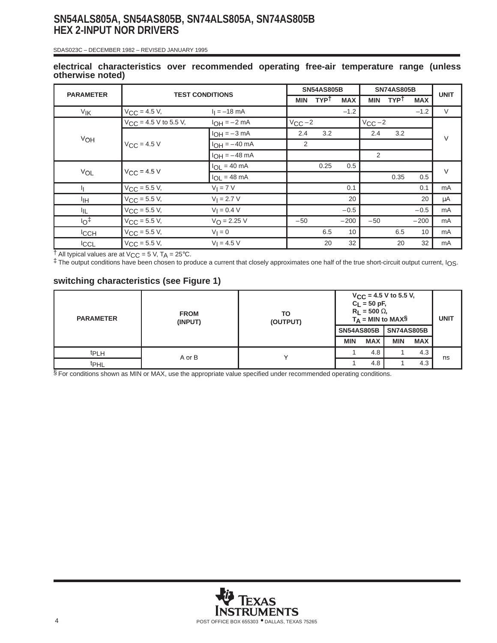# **SN54ALS805A, SN54AS805B, SN74ALS805A, SN74AS805B HEX 2-INPUT NOR DRIVERS**

SDAS023C – DECEMBER 1982 – REVISED JANUARY 1995

#### **electrical characteristics over recommended operating free-air temperature range (unless otherwise noted)**

| <b>PARAMETER</b>      | <b>TEST CONDITIONS</b>     |                       | <b>SN54AS805B</b> |             |            | <b>SN74AS805B</b> |             |            | <b>UNIT</b> |
|-----------------------|----------------------------|-----------------------|-------------------|-------------|------------|-------------------|-------------|------------|-------------|
|                       |                            |                       | MIN               | <b>TYPT</b> | <b>MAX</b> | <b>MIN</b>        | <b>TYPT</b> | <b>MAX</b> |             |
| <b>V<sub>IK</sub></b> | $V_{\text{CC}} = 4.5 V,$   | $I_1 = -18$ mA        |                   |             | $-1.2$     |                   |             | $-1.2$     | $\vee$      |
|                       | $V_{CC}$ = 4.5 V to 5.5 V, | $I_{OH} = -2 mA$      | $V_{CC}$ -2       |             |            | $V_{CC}$ -2       |             |            |             |
|                       |                            | $I_{OH} = -3$ mA      | 2.4               | 3.2         |            | 2.4               | 3.2         |            | $\vee$      |
| VOH                   | $V_{CC}$ = 4.5 V           | $I_{OH} = -40$ mA     | 2                 |             |            |                   |             |            |             |
|                       |                            | $I_{OH} = -48$ mA     |                   |             |            | 2                 |             |            |             |
|                       |                            | $I_{OL}$ = 40 mA      |                   | 0.25        | 0.5        |                   |             |            | $\vee$      |
| VOL                   | $V_{CC}$ = 4.5 V           | $I_{OL}$ = 48 mA      |                   |             |            |                   | 0.35        | 0.5        |             |
| h                     | $V_{CC}$ = 5.5 V,          | $V_I = 7 V$           |                   |             | 0.1        |                   |             | 0.1        | mA          |
| ŀщ                    | $V_{CC}$ = 5.5 V,          | $V_1 = 2.7 V$         |                   |             | 20         |                   |             | 20         | μA          |
| ŀμ                    | $V_{CC}$ = 5.5 V,          | $V_1 = 0.4 V$         |                   |             | $-0.5$     |                   |             | $-0.5$     | mA          |
| $10+$                 | $V_{CC}$ = 5.5 V,          | $V_{\Omega} = 2.25 V$ | $-50$             |             | $-200$     | $-50$             |             | $-200$     | mA          |
| <b>ICCH</b>           | $V_{CC}$ = 5.5 V,          | $V_1 = 0$             |                   | 6.5         | 10         |                   | 6.5         | 10         | mA          |
| <b>ICCL</b>           | $V_{CC}$ = 5.5 V,          | $V_1 = 4.5 V$         |                   | 20          | 32         |                   | 20          | 32         | mA          |

 $\dagger$  All typical values are at V<sub>CC</sub> = 5 V, T<sub>A</sub> = 25°C.

‡ The output conditions have been chosen to produce a current that closely approximates one half of the true short-circuit output current, IOS.

## **switching characteristics (see Figure 1)**

| <b>PARAMETER</b> | <b>FROM</b><br>(INPUT) | ТО<br>(OUTPUT) | $V_{CC}$ = 4.5 V to 5.5 V,<br>$C_L = 50$ pF,<br>$R_L$ = 500 $\Omega$ ,<br>$T_A$ = MIN to MAX§ | <b>UNIT</b> |                   |            |    |
|------------------|------------------------|----------------|-----------------------------------------------------------------------------------------------|-------------|-------------------|------------|----|
|                  |                        |                | <b>SN54AS805B</b>                                                                             |             | <b>SN74AS805B</b> |            |    |
|                  |                        |                | <b>MIN</b>                                                                                    | <b>MAX</b>  | <b>MIN</b>        | <b>MAX</b> |    |
| <b>tPLH</b>      | A or B                 |                |                                                                                               | 4.8         |                   | 4.3        | ns |
| <b>t</b> PHL     |                        |                |                                                                                               | 4.8         |                   | 4.3        |    |

 $§$  For conditions shown as MIN or MAX, use the appropriate value specified under recommended operating conditions.